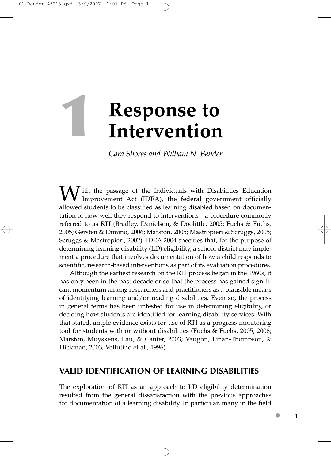**1**

# **Response to Intervention**

*Cara Shores and William N. Bender*

 $\int$  ith the passage of the Individuals with Disabilities Education Improvement Act (IDEA), the federal government officially allowed students to be classified as learning disabled based on documentation of how well they respond to interventions—a procedure commonly referred to as RTI (Bradley, Danielson, & Doolittle, 2005; Fuchs & Fuchs, 2005; Gersten & Dimino, 2006; Marston, 2005; Mastropieri & Scruggs, 2005; Scruggs & Mastropieri, 2002). IDEA 2004 specifies that, for the purpose of determining learning disability (LD) eligibility, a school district may implement a procedure that involves documentation of how a child responds to scientific, research-based interventions as part of its evaluation procedures.

Although the earliest research on the RTI process began in the 1960s, it has only been in the past decade or so that the process has gained significant momentum among researchers and practitioners as a plausible means of identifying learning and/or reading disabilities. Even so, the process in general terms has been untested for use in determining eligibility, or deciding how students are identified for learning disability services. With that stated, ample evidence exists for use of RTI as a progress-monitoring tool for students with or without disabilities (Fuchs & Fuchs, 2005, 2006; Marston, Muyskens, Lau, & Canter, 2003; Vaughn, Linan-Thompson, & Hickman, 2003; Vellutino et al., 1996).

## **VALID IDENTIFICATION OF LEARNING DISABILITIES**

The exploration of RTI as an approach to LD eligibility determination resulted from the general dissatisfaction with the previous approaches for documentation of a learning disability. In particular, many in the field

• **<sup>1</sup>**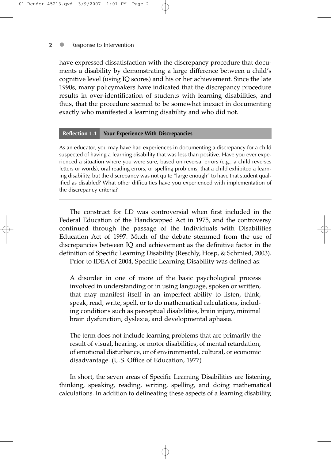have expressed dissatisfaction with the discrepancy procedure that documents a disability by demonstrating a large difference between a child's cognitive level (using IQ scores) and his or her achievement. Since the late 1990s, many policymakers have indicated that the discrepancy procedure results in over-identification of students with learning disabilities, and thus, that the procedure seemed to be somewhat inexact in documenting exactly who manifested a learning disability and who did not.

### **Reflection 1.1 Your Experience With Discrepancies**

As an educator, you may have had experiences in documenting a discrepancy for a child suspected of having a learning disability that was less than positive. Have you ever experienced a situation where you were sure, based on reversal errors (e.g., a child reverses letters or words), oral reading errors, or spelling problems, that a child exhibited a learning disability, but the discrepancy was not quite "large enough" to have that student qualified as disabled? What other difficulties have you experienced with implementation of the discrepancy criteria?

The construct for LD was controversial when first included in the Federal Education of the Handicapped Act in 1975, and the controversy continued through the passage of the Individuals with Disabilities Education Act of 1997. Much of the debate stemmed from the use of discrepancies between IQ and achievement as the definitive factor in the definition of Specific Learning Disability (Reschly, Hosp, & Schmied, 2003).

Prior to IDEA of 2004, Specific Learning Disability was defined as:

A disorder in one of more of the basic psychological process involved in understanding or in using language, spoken or written, that may manifest itself in an imperfect ability to listen, think, speak, read, write, spell, or to do mathematical calculations, including conditions such as perceptual disabilities, brain injury, minimal brain dysfunction, dyslexia, and developmental aphasia.

The term does not include learning problems that are primarily the result of visual, hearing, or motor disabilities, of mental retardation, of emotional disturbance, or of environmental, cultural, or economic disadvantage. (U.S. Office of Education, 1977)

In short, the seven areas of Specific Learning Disabilities are listening, thinking, speaking, reading, writing, spelling, and doing mathematical calculations. In addition to delineating these aspects of a learning disability,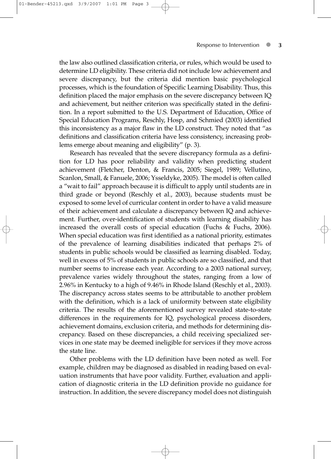the law also outlined classification criteria, or rules, which would be used to determine LD eligibility. These criteria did not include low achievement and severe discrepancy, but the criteria did mention basic psychological processes, which is the foundation of Specific Learning Disability. Thus, this definition placed the major emphasis on the severe discrepancy between IQ and achievement, but neither criterion was specifically stated in the definition. In a report submitted to the U.S. Department of Education, Office of Special Education Programs, Reschly, Hosp, and Schmied (2003) identified this inconsistency as a major flaw in the LD construct. They noted that "as definitions and classification criteria have less consistency, increasing problems emerge about meaning and eligibility" (p. 3).

Research has revealed that the severe discrepancy formula as a definition for LD has poor reliability and validity when predicting student achievement (Fletcher, Denton, & Francis, 2005; Siegel, 1989; Vellutino, Scanlon, Small, & Fanuele, 2006; Ysseldyke, 2005). The model is often called a "wait to fail" approach because it is difficult to apply until students are in third grade or beyond (Reschly et al., 2003), because students must be exposed to some level of curricular content in order to have a valid measure of their achievement and calculate a discrepancy between IQ and achievement. Further, over-identification of students with learning disability has increased the overall costs of special education (Fuchs & Fuchs, 2006). When special education was first identified as a national priority, estimates of the prevalence of learning disabilities indicated that perhaps 2% of students in public schools would be classified as learning disabled. Today, well in excess of 5% of students in public schools are so classified, and that number seems to increase each year. According to a 2003 national survey, prevalence varies widely throughout the states, ranging from a low of 2.96% in Kentucky to a high of 9.46% in Rhode Island (Reschly et al., 2003). The discrepancy across states seems to be attributable to another problem with the definition, which is a lack of uniformity between state eligibility criteria. The results of the aforementioned survey revealed state-to-state differences in the requirements for IQ, psychological process disorders, achievement domains, exclusion criteria, and methods for determining discrepancy. Based on these discrepancies, a child receiving specialized services in one state may be deemed ineligible for services if they move across the state line.

Other problems with the LD definition have been noted as well. For example, children may be diagnosed as disabled in reading based on evaluation instruments that have poor validity. Further, evaluation and application of diagnostic criteria in the LD definition provide no guidance for instruction. In addition, the severe discrepancy model does not distinguish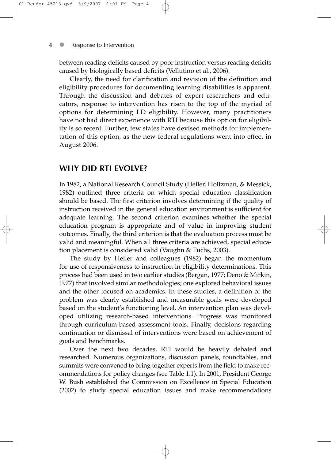between reading deficits caused by poor instruction versus reading deficits caused by biologically based deficits (Vellutino et al., 2006).

Clearly, the need for clarification and revision of the definition and eligibility procedures for documenting learning disabilities is apparent. Through the discussion and debates of expert researchers and educators, response to intervention has risen to the top of the myriad of options for determining LD eligibility. However, many practitioners have not had direct experience with RTI because this option for eligibility is so recent. Further, few states have devised methods for implementation of this option, as the new federal regulations went into effect in August 2006.

## **WHY DID RTI EVOLVE?**

In 1982, a National Research Council Study (Heller, Holtzman, & Messick, 1982) outlined three criteria on which special education classification should be based. The first criterion involves determining if the quality of instruction received in the general education environment is sufficient for adequate learning. The second criterion examines whether the special education program is appropriate and of value in improving student outcomes. Finally, the third criterion is that the evaluation process must be valid and meaningful. When all three criteria are achieved, special education placement is considered valid (Vaughn & Fuchs, 2003).

The study by Heller and colleagues (1982) began the momentum for use of responsiveness to instruction in eligibility determinations. This process had been used in two earlier studies (Bergan, 1977; Deno & Mirkin, 1977) that involved similar methodologies; one explored behavioral issues and the other focused on academics. In these studies, a definition of the problem was clearly established and measurable goals were developed based on the student's functioning level. An intervention plan was developed utilizing research-based interventions. Progress was monitored through curriculum-based assessment tools. Finally, decisions regarding continuation or dismissal of interventions were based on achievement of goals and benchmarks.

Over the next two decades, RTI would be heavily debated and researched. Numerous organizations, discussion panels, roundtables, and summits were convened to bring together experts from the field to make recommendations for policy changes (see Table 1.1). In 2001, President George W. Bush established the Commission on Excellence in Special Education (2002) to study special education issues and make recommendations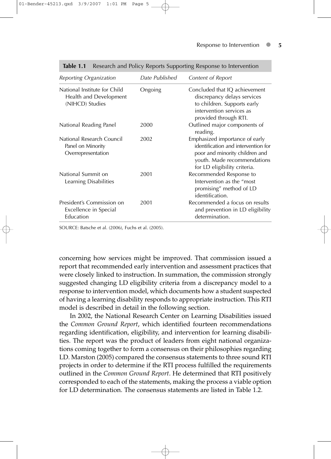| Reporting Organization                                                    | Date Published | Content of Report                                                                                                                                                      |
|---------------------------------------------------------------------------|----------------|------------------------------------------------------------------------------------------------------------------------------------------------------------------------|
| National Institute for Child<br>Health and Development<br>(NIHCD) Studies | Ongoing        | Concluded that IQ achievement<br>discrepancy delays services<br>to children. Supports early<br>intervention services as<br>provided through RTI.                       |
| National Reading Panel                                                    | 2000           | Outlined major components of<br>reading.                                                                                                                               |
| National Research Council<br>Panel on Minority<br>Overrepresentation      | 2002           | Emphasized importance of early<br>identification and intervention for<br>poor and minority children and<br>youth. Made recommendations<br>for LD eligibility criteria. |
| National Summit on<br>Learning Disabilities                               | 2001           | Recommended Response to<br>Intervention as the "most<br>promising" method of LD<br>identification.                                                                     |
| President's Commission on<br>Excellence in Special<br>Education           | 2001           | Recommended a focus on results<br>and prevention in LD eligibility<br>determination.                                                                                   |

**Table 1.1** Research and Policy Reports Supporting Response to Intervention

SOURCE: Batsche et al. (2006), Fuchs et al. (2005).

01-Bender-45213.qxd 3/9/2007 1:01 PM Page 5

concerning how services might be improved. That commission issued a report that recommended early intervention and assessment practices that were closely linked to instruction. In summation, the commission strongly suggested changing LD eligibility criteria from a discrepancy model to a response to intervention model, which documents how a student suspected of having a learning disability responds to appropriate instruction. This RTI model is described in detail in the following section.

In 2002, the National Research Center on Learning Disabilities issued the *Common Ground Report*, which identified fourteen recommendations regarding identification, eligibility, and intervention for learning disabilities. The report was the product of leaders from eight national organizations coming together to form a consensus on their philosophies regarding LD. Marston (2005) compared the consensus statements to three sound RTI projects in order to determine if the RTI process fulfilled the requirements outlined in the *Common Ground Report*. He determined that RTI positively corresponded to each of the statements, making the process a viable option for LD determination. The consensus statements are listed in Table 1.2.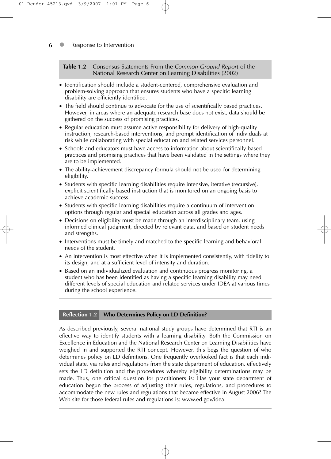**Table 1.2** Consensus Statements From the *Common Ground Report* of the National Research Center on Learning Disabilities (2002)

- Identification should include a student-centered, comprehensive evaluation and problem-solving approach that ensures students who have a specific learning disability are efficiently identified.
- The field should continue to advocate for the use of scientifically based practices. However, in areas where an adequate research base does not exist, data should be gathered on the success of promising practices.
- Regular education must assume active responsibility for delivery of high-quality instruction, research-based interventions, and prompt identification of individuals at risk while collaborating with special education and related services personnel.
- Schools and educators must have access to information about scientifically based practices and promising practices that have been validated in the settings where they are to be implemented.
- The ability-achievement discrepancy formula should not be used for determining eligibility.
- Students with specific learning disabilities require intensive, iterative (recursive), explicit scientifically based instruction that is monitored on an ongoing basis to achieve academic success.
- Students with specific learning disabilities require a continuum of intervention options through regular and special education across all grades and ages.
- Decisions on eligibility must be made through an interdisciplinary team, using informed clinical judgment, directed by relevant data, and based on student needs and strengths.
- Interventions must be timely and matched to the specific learning and behavioral needs of the student.
- An intervention is most effective when it is implemented consistently, with fidelity to its design, and at a sufficient level of intensity and duration.
- Based on an individualized evaluation and continuous progress monitoring, a student who has been identified as having a specific learning disability may need different levels of special education and related services under IDEA at various times during the school experience.

#### **Reflection 1.2 Who Determines Policy on LD Definition?**

As described previously, several national study groups have determined that RTI is an effective way to identify students with a learning disability. Both the Commission on Excellence in Education and the National Research Center on Learning Disabilities have weighed in and supported the RTI concept. However, this begs the question of who determines policy on LD definitions. One frequently overlooked fact is that each individual state, via rules and regulations from the state department of education, effectively sets the LD definition and the procedures whereby eligibility determinations may be made. Thus, one critical question for practitioners is: Has your state department of education begun the process of adjusting their rules, regulations, and procedures to accommodate the new rules and regulations that became effective in August 2006? The Web site for those federal rules and regulations is: www.ed.gov/idea.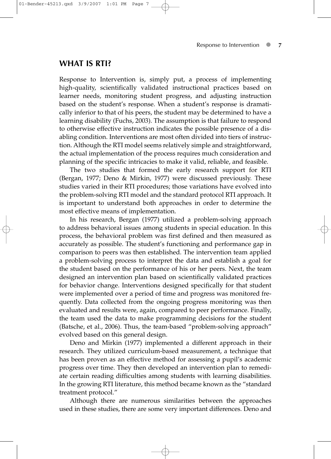#### 01-Bender-45213.qxd 3/9/2007 1:01 PM Page 7

## **WHAT IS RTI?**

Response to Intervention is, simply put, a process of implementing high-quality, scientifically validated instructional practices based on learner needs, monitoring student progress, and adjusting instruction based on the student's response. When a student's response is dramatically inferior to that of his peers, the student may be determined to have a learning disability (Fuchs, 2003). The assumption is that failure to respond to otherwise effective instruction indicates the possible presence of a disabling condition. Interventions are most often divided into tiers of instruction. Although the RTI model seems relatively simple and straightforward, the actual implementation of the process requires much consideration and planning of the specific intricacies to make it valid, reliable, and feasible.

The two studies that formed the early research support for RTI (Bergan, 1977; Deno & Mirkin, 1977) were discussed previously. These studies varied in their RTI procedures; those variations have evolved into the problem-solving RTI model and the standard protocol RTI approach. It is important to understand both approaches in order to determine the most effective means of implementation.

In his research, Bergan (1977) utilized a problem-solving approach to address behavioral issues among students in special education. In this process, the behavioral problem was first defined and then measured as accurately as possible. The student's functioning and performance gap in comparison to peers was then established. The intervention team applied a problem-solving process to interpret the data and establish a goal for the student based on the performance of his or her peers. Next, the team designed an intervention plan based on scientifically validated practices for behavior change. Interventions designed specifically for that student were implemented over a period of time and progress was monitored frequently. Data collected from the ongoing progress monitoring was then evaluated and results were, again, compared to peer performance. Finally, the team used the data to make programming decisions for the student (Batsche, et al., 2006). Thus, the team-based "problem-solving approach" evolved based on this general design.

Deno and Mirkin (1977) implemented a different approach in their research. They utilized curriculum-based measurement, a technique that has been proven as an effective method for assessing a pupil's academic progress over time. They then developed an intervention plan to remediate certain reading difficulties among students with learning disabilities. In the growing RTI literature, this method became known as the "standard treatment protocol."

Although there are numerous similarities between the approaches used in these studies, there are some very important differences. Deno and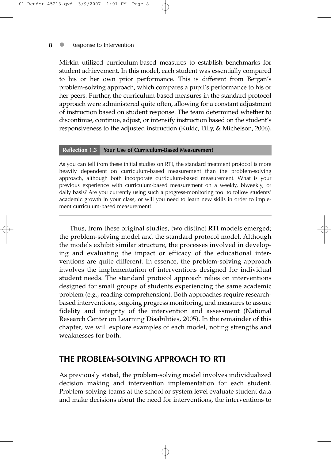Mirkin utilized curriculum-based measures to establish benchmarks for student achievement. In this model, each student was essentially compared to his or her own prior performance. This is different from Bergan's problem-solving approach, which compares a pupil's performance to his or her peers. Further, the curriculum-based measures in the standard protocol approach were administered quite often, allowing for a constant adjustment of instruction based on student response. The team determined whether to discontinue, continue, adjust, or intensify instruction based on the student's responsiveness to the adjusted instruction (Kukic, Tilly, & Michelson, 2006).

#### **Reflection 1.3 Your Use of Curriculum-Based Measurement**

As you can tell from these initial studies on RTI, the standard treatment protocol is more heavily dependent on curriculum-based measurement than the problem-solving approach, although both incorporate curriculum-based measurement. What is your previous experience with curriculum-based measurement on a weekly, biweekly, or daily basis? Are you currently using such a progress-monitoring tool to follow students' academic growth in your class, or will you need to learn new skills in order to implement curriculum-based measurement?

Thus, from these original studies, two distinct RTI models emerged; the problem-solving model and the standard protocol model. Although the models exhibit similar structure, the processes involved in developing and evaluating the impact or efficacy of the educational interventions are quite different. In essence, the problem-solving approach involves the implementation of interventions designed for individual student needs. The standard protocol approach relies on interventions designed for small groups of students experiencing the same academic problem (e.g., reading comprehension). Both approaches require researchbased interventions, ongoing progress monitoring, and measures to assure fidelity and integrity of the intervention and assessment (National Research Center on Learning Disabilities, 2005). In the remainder of this chapter, we will explore examples of each model, noting strengths and weaknesses for both.

## **THE PROBLEM-SOLVING APPROACH TO RTI**

As previously stated, the problem-solving model involves individualized decision making and intervention implementation for each student. Problem-solving teams at the school or system level evaluate student data and make decisions about the need for interventions, the interventions to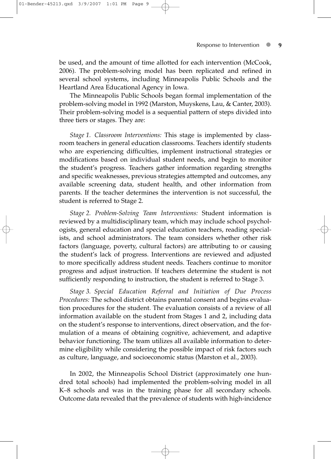be used, and the amount of time allotted for each intervention (McCook, 2006). The problem-solving model has been replicated and refined in several school systems, including Minneapolis Public Schools and the Heartland Area Educational Agency in Iowa.

The Minneapolis Public Schools began formal implementation of the problem-solving model in 1992 (Marston, Muyskens, Lau, & Canter, 2003). Their problem-solving model is a sequential pattern of steps divided into three tiers or stages. They are:

*Stage 1. Classroom Interventions:* This stage is implemented by classroom teachers in general education classrooms. Teachers identify students who are experiencing difficulties, implement instructional strategies or modifications based on individual student needs, and begin to monitor the student's progress. Teachers gather information regarding strengths and specific weaknesses, previous strategies attempted and outcomes, any available screening data, student health, and other information from parents. If the teacher determines the intervention is not successful, the student is referred to Stage 2.

*Stage 2. Problem-Solving Team Interventions:* Student information is reviewed by a multidisciplinary team, which may include school psychologists, general education and special education teachers, reading specialists, and school administrators. The team considers whether other risk factors (language, poverty, cultural factors) are attributing to or causing the student's lack of progress. Interventions are reviewed and adjusted to more specifically address student needs. Teachers continue to monitor progress and adjust instruction. If teachers determine the student is not sufficiently responding to instruction, the student is referred to Stage 3.

*Stage 3. Special Education Referral and Initiation of Due Process Procedures:* The school district obtains parental consent and begins evaluation procedures for the student. The evaluation consists of a review of all information available on the student from Stages 1 and 2, including data on the student's response to interventions, direct observation, and the formulation of a means of obtaining cognitive, achievement, and adaptive behavior functioning. The team utilizes all available information to determine eligibility while considering the possible impact of risk factors such as culture, language, and socioeconomic status (Marston et al., 2003).

In 2002, the Minneapolis School District (approximately one hundred total schools) had implemented the problem-solving model in all K–8 schools and was in the training phase for all secondary schools. Outcome data revealed that the prevalence of students with high-incidence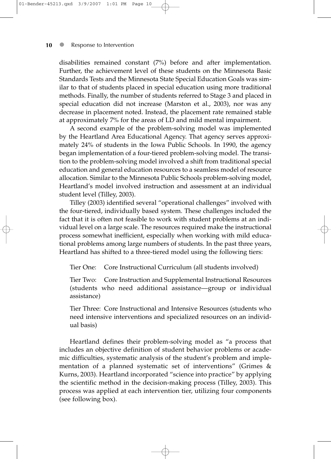disabilities remained constant (7%) before and after implementation. Further, the achievement level of these students on the Minnesota Basic Standards Tests and the Minnesota State Special Education Goals was similar to that of students placed in special education using more traditional methods. Finally, the number of students referred to Stage 3 and placed in special education did not increase (Marston et al., 2003), nor was any decrease in placement noted. Instead, the placement rate remained stable at approximately 7% for the areas of LD and mild mental impairment.

A second example of the problem-solving model was implemented by the Heartland Area Educational Agency. That agency serves approximately 24% of students in the Iowa Public Schools. In 1990, the agency began implementation of a four-tiered problem-solving model. The transition to the problem-solving model involved a shift from traditional special education and general education resources to a seamless model of resource allocation. Similar to the Minnesota Public Schools problem-solving model, Heartland's model involved instruction and assessment at an individual student level (Tilley, 2003).

Tilley (2003) identified several "operational challenges" involved with the four-tiered, individually based system. These challenges included the fact that it is often not feasible to work with student problems at an individual level on a large scale. The resources required make the instructional process somewhat inefficient, especially when working with mild educational problems among large numbers of students. In the past three years, Heartland has shifted to a three-tiered model using the following tiers:

Tier One: Core Instructional Curriculum (all students involved)

Tier Two: Core Instruction and Supplemental Instructional Resources (students who need additional assistance—group or individual assistance)

Tier Three: Core Instructional and Intensive Resources (students who need intensive interventions and specialized resources on an individual basis)

Heartland defines their problem-solving model as "a process that includes an objective definition of student behavior problems or academic difficulties, systematic analysis of the student's problem and implementation of a planned systematic set of interventions" (Grimes & Kurns, 2003). Heartland incorporated "science into practice" by applying the scientific method in the decision-making process (Tilley, 2003). This process was applied at each intervention tier, utilizing four components (see following box).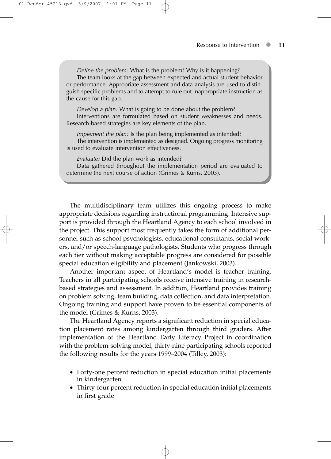*Define the problem:* What is the problem? Why is it happening? The team looks at the gap between expected and actual student behavior or performance. Appropriate assessment and data analysis are used to distinguish specific problems and to attempt to rule out inappropriate instruction as the cause for this gap.

*Develop a plan:* What is going to be done about the problem? Interventions are formulated based on student weaknesses and needs. Research-based strategies are key elements of the plan.

*Implement the plan:* Is the plan being implemented as intended? The intervention is implemented as designed. Ongoing progress monitoring is used to evaluate intervention effectiveness.

*Evaluate:* Did the plan work as intended?

Data gathered throughout the implementation period are evaluated to determine the next course of action (Grimes & Kurns, 2003).

The multidisciplinary team utilizes this ongoing process to make appropriate decisions regarding instructional programming. Intensive support is provided through the Heartland Agency to each school involved in the project. This support most frequently takes the form of additional personnel such as school psychologists, educational consultants, social workers, and/or speech-language pathologists. Students who progress through each tier without making acceptable progress are considered for possible special education eligibility and placement (Jankowski, 2003).

Another important aspect of Heartland's model is teacher training. Teachers in all participating schools receive intensive training in researchbased strategies and assessment. In addition, Heartland provides training on problem solving, team building, data collection, and data interpretation. Ongoing training and support have proven to be essential components of the model (Grimes & Kurns, 2003).

The Heartland Agency reports a significant reduction in special education placement rates among kindergarten through third graders. After implementation of the Heartland Early Literacy Project in coordination with the problem-solving model, thirty-nine participating schools reported the following results for the years 1999–2004 (Tilley, 2003):

- Forty-one percent reduction in special education initial placements in kindergarten
- Thirty-four percent reduction in special education initial placements in first grade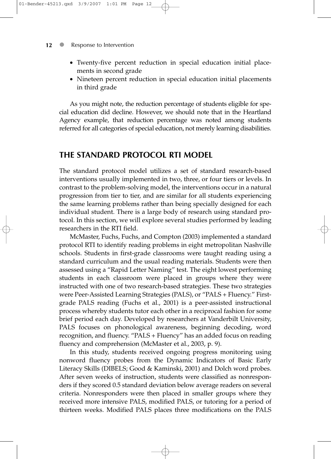- **12** Response to Intervention
	- Twenty-five percent reduction in special education initial placements in second grade
	- Nineteen percent reduction in special education initial placements in third grade

As you might note, the reduction percentage of students eligible for special education did decline. However, we should note that in the Heartland Agency example, that reduction percentage was noted among students referred for all categories of special education, not merely learning disabilities.

## **THE STANDARD PROTOCOL RTI MODEL**

The standard protocol model utilizes a set of standard research-based interventions usually implemented in two, three, or four tiers or levels. In contrast to the problem-solving model, the interventions occur in a natural progression from tier to tier, and are similar for all students experiencing the same learning problems rather than being specially designed for each individual student. There is a large body of research using standard protocol. In this section, we will explore several studies performed by leading researchers in the RTI field.

McMaster, Fuchs, Fuchs, and Compton (2003) implemented a standard protocol RTI to identify reading problems in eight metropolitan Nashville schools. Students in first-grade classrooms were taught reading using a standard curriculum and the usual reading materials. Students were then assessed using a "Rapid Letter Naming" test. The eight lowest performing students in each classroom were placed in groups where they were instructed with one of two research-based strategies. These two strategies were Peer-Assisted Learning Strategies (PALS), or "PALS + Fluency." Firstgrade PALS reading (Fuchs et al., 2001) is a peer-assisted instructional process whereby students tutor each other in a reciprocal fashion for some brief period each day. Developed by researchers at Vanderbilt University, PALS focuses on phonological awareness, beginning decoding, word recognition, and fluency. "PALS + Fluency" has an added focus on reading fluency and comprehension (McMaster et al., 2003, p. 9).

In this study, students received ongoing progress monitoring using nonword fluency probes from the Dynamic Indicators of Basic Early Literacy Skills (DIBELS; Good & Kaminski, 2001) and Dolch word probes. After seven weeks of instruction, students were classified as nonresponders if they scored 0.5 standard deviation below average readers on several criteria. Nonresponders were then placed in smaller groups where they received more intensive PALS, modified PALS, or tutoring for a period of thirteen weeks. Modified PALS places three modifications on the PALS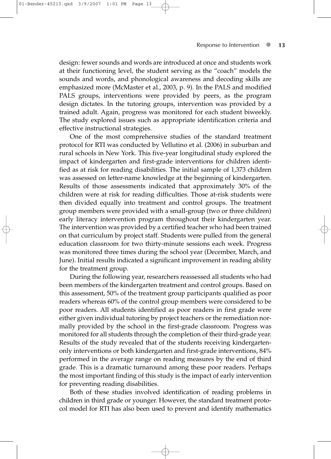design: fewer sounds and words are introduced at once and students work at their functioning level, the student serving as the "coach" models the sounds and words, and phonological awareness and decoding skills are emphasized more (McMaster et al., 2003, p. 9). In the PALS and modified PALS groups, interventions were provided by peers, as the program design dictates. In the tutoring groups, intervention was provided by a trained adult. Again, progress was monitored for each student biweekly. The study explored issues such as appropriate identification criteria and effective instructional strategies.

One of the most comprehensive studies of the standard treatment protocol for RTI was conducted by Vellutino et al. (2006) in suburban and rural schools in New York. This five-year longitudinal study explored the impact of kindergarten and first-grade interventions for children identified as at risk for reading disabilities. The initial sample of 1,373 children was assessed on letter-name knowledge at the beginning of kindergarten. Results of those assessments indicated that approximately 30% of the children were at risk for reading difficulties. Those at-risk students were then divided equally into treatment and control groups. The treatment group members were provided with a small-group (two or three children) early literacy intervention program throughout their kindergarten year. The intervention was provided by a certified teacher who had been trained on that curriculum by project staff. Students were pulled from the general education classroom for two thirty-minute sessions each week. Progress was monitored three times during the school year (December, March, and June). Initial results indicated a significant improvement in reading ability for the treatment group.

During the following year, researchers reassessed all students who had been members of the kindergarten treatment and control groups. Based on this assessment, 50% of the treatment group participants qualified as poor readers whereas 60% of the control group members were considered to be poor readers. All students identified as poor readers in first grade were either given individual tutoring by project teachers or the remediation normally provided by the school in the first-grade classroom. Progress was monitored for all students through the completion of their third-grade year. Results of the study revealed that of the students receiving kindergartenonly interventions or both kindergarten and first-grade interventions, 84% performed in the average range on reading measures by the end of third grade. This is a dramatic turnaround among these poor readers. Perhaps the most important finding of this study is the impact of early intervention for preventing reading disabilities.

Both of these studies involved identification of reading problems in children in third grade or younger. However, the standard treatment protocol model for RTI has also been used to prevent and identify mathematics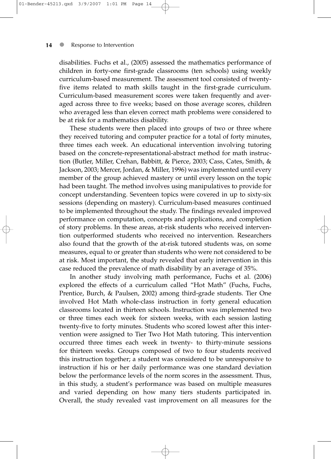disabilities. Fuchs et al., (2005) assessed the mathematics performance of children in forty-one first-grade classrooms (ten schools) using weekly curriculum-based measurement. The assessment tool consisted of twentyfive items related to math skills taught in the first-grade curriculum. Curriculum-based measurement scores were taken frequently and averaged across three to five weeks; based on those average scores, children who averaged less than eleven correct math problems were considered to be at risk for a mathematics disability.

These students were then placed into groups of two or three where they received tutoring and computer practice for a total of forty minutes, three times each week. An educational intervention involving tutoring based on the concrete-representational-abstract method for math instruction (Butler, Miller, Crehan, Babbitt, & Pierce, 2003; Cass, Cates, Smith, & Jackson, 2003; Mercer, Jordan, & Miller, 1996) was implemented until every member of the group achieved mastery or until every lesson on the topic had been taught. The method involves using manipulatives to provide for concept understanding. Seventeen topics were covered in up to sixty-six sessions (depending on mastery). Curriculum-based measures continued to be implemented throughout the study. The findings revealed improved performance on computation, concepts and applications, and completion of story problems. In these areas, at-risk students who received intervention outperformed students who received no intervention. Researchers also found that the growth of the at-risk tutored students was, on some measures, equal to or greater than students who were not considered to be at risk. Most important, the study revealed that early intervention in this case reduced the prevalence of math disability by an average of 35%.

In another study involving math performance, Fuchs et al. (2006) explored the effects of a curriculum called "Hot Math" (Fuchs, Fuchs, Prentice, Burch, & Paulsen, 2002) among third-grade students. Tier One involved Hot Math whole-class instruction in forty general education classrooms located in thirteen schools. Instruction was implemented two or three times each week for sixteen weeks, with each session lasting twenty-five to forty minutes. Students who scored lowest after this intervention were assigned to Tier Two Hot Math tutoring. This intervention occurred three times each week in twenty- to thirty-minute sessions for thirteen weeks. Groups composed of two to four students received this instruction together; a student was considered to be unresponsive to instruction if his or her daily performance was one standard deviation below the performance levels of the norm scores in the assessment. Thus, in this study, a student's performance was based on multiple measures and varied depending on how many tiers students participated in. Overall, the study revealed vast improvement on all measures for the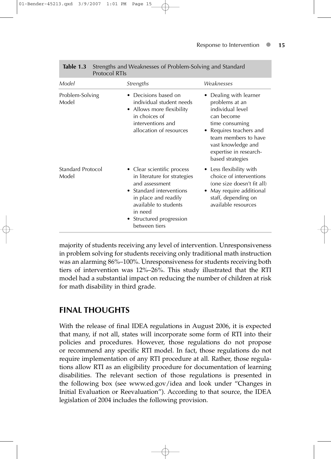| Protocol RTIS              |                                                                                                                                                                                                                 |                                                                                                                                                                                                                 |
|----------------------------|-----------------------------------------------------------------------------------------------------------------------------------------------------------------------------------------------------------------|-----------------------------------------------------------------------------------------------------------------------------------------------------------------------------------------------------------------|
| Model                      | Strengths                                                                                                                                                                                                       | Weaknesses                                                                                                                                                                                                      |
| Problem-Solving<br>Model   | Decisions based on<br>individual student needs<br>Allows more flexibility<br>in choices of<br>interventions and<br>allocation of resources                                                                      | Dealing with learner<br>problems at an<br>individual level<br>can become<br>time consuming<br>Requires teachers and<br>team members to have<br>vast knowledge and<br>expertise in research-<br>based strategies |
| Standard Protocol<br>Model | • Clear scientific process<br>in literature for strategies<br>and assessment<br>• Standard interventions<br>in place and readily<br>available to students<br>in need<br>Structured progression<br>between tiers | • Less flexibility with<br>choice of interventions<br>(one size doesn't fit all)<br>May require additional<br>staff, depending on<br>available resources                                                        |

**Table 1.3** Strengths and Weaknesses of Problem-Solving and Standard Protocol RTIs

majority of students receiving any level of intervention. Unresponsiveness in problem solving for students receiving only traditional math instruction was an alarming 86%–100%. Unresponsiveness for students receiving both tiers of intervention was 12%–26%. This study illustrated that the RTI model had a substantial impact on reducing the number of children at risk for math disability in third grade.

## **FINAL THOUGHTS**

01-Bender-45213.qxd 3/9/2007 1:01 PM Page 15

With the release of final IDEA regulations in August 2006, it is expected that many, if not all, states will incorporate some form of RTI into their policies and procedures. However, those regulations do not propose or recommend any specific RTI model. In fact, those regulations do not require implementation of any RTI procedure at all. Rather, those regulations allow RTI as an eligibility procedure for documentation of learning disabilities. The relevant section of those regulations is presented in the following box (see www.ed.gov/idea and look under "Changes in Initial Evaluation or Reevaluation"). According to that source, the IDEA legislation of 2004 includes the following provision.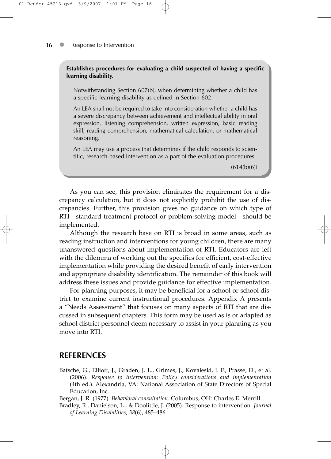**Establishes procedures for evaluating a child suspected of having a specific learning disability.**

Notwithstanding Section 607(b), when determining whether a child has a specific learning disability as defined in Section 602:

An LEA shall not be required to take into consideration whether a child has a severe discrepancy between achievement and intellectual ability in oral expression, listening comprehension, written expression, basic reading skill, reading comprehension, mathematical calculation, or mathematical reasoning.

An LEA may use a process that determines if the child responds to scientific, research-based intervention as a part of the evaluation procedures.

 $(614(b)(6))$ 

As you can see, this provision eliminates the requirement for a discrepancy calculation, but it does not explicitly prohibit the use of discrepancies. Further, this provision gives no guidance on which type of RTI—standard treatment protocol or problem-solving model—should be implemented.

Although the research base on RTI is broad in some areas, such as reading instruction and interventions for young children, there are many unanswered questions about implementation of RTI. Educators are left with the dilemma of working out the specifics for efficient, cost-effective implementation while providing the desired benefit of early intervention and appropriate disability identification. The remainder of this book will address these issues and provide guidance for effective implementation.

For planning purposes, it may be beneficial for a school or school district to examine current instructional procedures. Appendix A presents a "Needs Assessment" that focuses on many aspects of RTI that are discussed in subsequent chapters. This form may be used as is or adapted as school district personnel deem necessary to assist in your planning as you move into RTI.

## **REFERENCES**

Batsche, G., Elliott, J., Graden, J. L., Grimes, J., Kovaleski, J. F., Prasse, D., et al. (2006). *Response to intervention: Policy considerations and implementation* (4th ed.). Alexandria, VA: National Association of State Directors of Special Education, Inc.

Bergan, J. R. (1977). *Behavioral consultation*. Columbus, OH: Charles E. Merrill.

Bradley, R., Danielson, L., & Doolittle, J. (2005). Response to intervention. *Journal of Learning Disabilities, 38*(6), 485–486.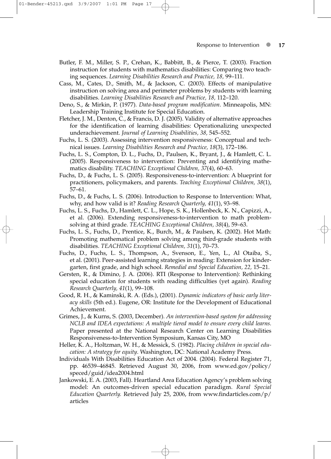01-Bender-45213.qxd 3/9/2007 1:01 PM Page 17

- Butler, F. M., Miller, S. P., Crehan, K., Babbitt, B., & Pierce, T. (2003). Fraction instruction for students with mathematics disabilities: Comparing two teaching sequences. *Learning Disabilities Research and Practice, 18,* 99–111.
- Cass, M., Cates, D., Smith, M., & Jackson, C. (2003). Effects of manipulative instruction on solving area and perimeter problems by students with learning disabilities. *Learning Disabilities Research and Practice, 18,* 112–120.
- Deno, S., & Mirkin, P. (1977). *Data-based program modification*. Minneapolis, MN: Leadership Training Institute for Special Education.
- Fletcher, J. M., Denton, C., & Francis, D. J. (2005). Validity of alternative approaches for the identification of learning disabilities: Operationalizing unexpected underachievement. *Journal of Learning Disabilities, 38,* 545–552.
- Fuchs, L. S. (2003). Assessing intervention responsiveness: Conceptual and technical issues. *Learning Disabilities Research and Practice, 18*(3), 172–186.
- Fuchs, L. S., Compton, D. L., Fuchs, D., Paulsen, K., Bryant, J., & Hamlett, C. L. (2005). Responsiveness to intervention: Preventing and identifying mathematics disability. *TEACHING Exceptional Children, 37*(4), 60–63.
- Fuchs, D., & Fuchs, L. S. (2005). Responsiveness-to-intervention: A blueprint for practitioners, policymakers, and parents. *Teaching Exceptional Children, 38*(1), 57–61.
- Fuchs, D., & Fuchs, L. S. (2006). Introduction to Response to Intervention: What, why, and how valid is it? *Reading Research Quarterly, 41*(1), 93–98.
- Fuchs, L. S., Fuchs, D., Hamlett, C. L., Hope, S. K., Hollenbeck, K. N., Capizzi, A., et al. (2006). Extending responsiveness-to-intervention to math problemsolving at third grade. *TEACHING Exceptional Children, 38*(4), 59–63.
- Fuchs, L. S., Fuchs, D., Prentice, K., Burch, M., & Paulsen, K. (2002). Hot Math: Promoting mathematical problem solving among third-grade students with disabilities. *TEACHING Exceptional Children, 31*(1), 70–73.
- Fuchs, D., Fuchs, L. S., Thompson, A., Svenson, E., Yen, L., Al Otaiba, S., et al. (2001). Peer-assisted learning strategies in reading: Extension for kindergarten, first grade, and high school. *Remedial and Special Education, 22,* 15–21.
- Gersten, R., & Dimino, J. A. (2006). RTI (Response to Intervention): Rethinking special education for students with reading difficulties (yet again). *Reading Research Quarterly, 41*(1), 99–108.
- Good, R. H., & Kaminski, R. A. (Eds.), (2001). *Dynamic indicators of basic early literacy skills* (5th ed.). Eugene, OR: Institute for the Development of Educational Achievement.
- Grimes, J., & Kurns, S. (2003, December). *An intervention-based system for addressing NCLB and IDEA expectations: A multiple tiered model to ensure every child learns.* Paper presented at the National Research Center on Learning Disabilities Responsiveness-to-Intervention Symposium, Kansas City, MO
- Heller, K. A., Holtzman, W. H., & Messick, S. (1982). *Placing children in special education: A strategy for equity*. Washington, DC: National Academy Press.
- Individuals With Disabilities Education Act of 2004. (2004). Federal Register 71, pp. 46539–46845. Retrieved August 30, 2006, from www.ed.gov/policy/ speced/guid/idea2004.html
- Jankowski, E. A. (2003, Fall). Heartland Area Education Agency's problem solving model: An outcomes-driven special education paradigm. *Rural Special Education Quarterly.* Retrieved July 25, 2006, from www.findarticles.com/p/ articles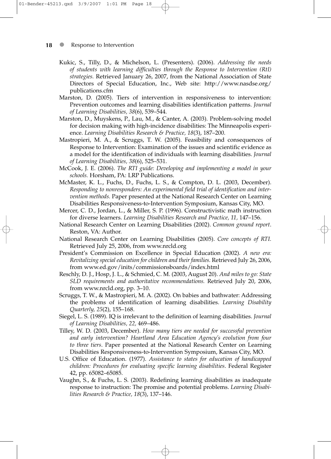- Kukic, S., Tilly, D., & Michelson, L. (Presenters). (2006). *Addressing the needs of students with learning difficulties through the Response to Intervention (RtI) strategies.* Retrieved January 26, 2007, from the National Association of State Directors of Special Education, Inc., Web site: http://www.nasdse.org/ publications.cfm
- Marston, D. (2005). Tiers of intervention in responsiveness to intervention: Prevention outcomes and learning disabilities identification patterns. *Journal of Learning Disabilities, 38*(6), 539–544.
- Marston, D., Muyskens, P., Lau, M., & Canter, A. (2003). Problem-solving model for decision making with high-incidence disabilities: The Minneapolis experience. *Learning Disabilities Research & Practice, 18*(3), 187–200.
- Mastropieri, M. A., & Scruggs, T. W. (2005). Feasibility and consequences of Response to Intervention: Examination of the issues and scientific evidence as a model for the identification of individuals with learning disabilities. *Journal of Learning Disabilities, 38*(6), 525–531.
- McCook, J. E. (2006). *The RTI guide: Developing and implementing a model in your schools.* Horsham, PA: LRP Publications.
- McMaster, K. L., Fuchs, D., Fuchs, L. S., & Compton, D. L. (2003, December). *Responding to nonresponders: An experimental field trial of identification and intervention methods.* Paper presented at the National Research Center on Learning Disabilities Responsiveness-to-Intervention Symposium, Kansas City, MO.
- Mercer, C. D., Jordan, L., & Miller, S. P. (1996). Constructivistic math instruction for diverse learners. *Learning Disabilities Research and Practice, 11,* 147–156.
- National Research Center on Learning Disabilities (2002). *Common ground report*. Reston, VA: Author.
- National Research Center on Learning Disabilities (2005). *Core concepts of RTI.* Retrieved July 25, 2006, from www.nrcld.org
- President's Commission on Excellence in Special Education (2002). *A new era: Revitalizing special education for children and their families.* Retrieved July 26, 2006, from www.ed.gov/inits/commissionsboards/index.html
- Reschly, D. J., Hosp, J. L., & Schmied, C. M. (2003, August 20). *And miles to go: State SLD requirements and authoritative recommendations.* Retrieved July 20, 2006, from www.nrcld.org, pp. 3–10.
- Scruggs, T. W., & Mastropieri, M. A. (2002). On babies and bathwater: Addressing the problems of identification of learning disabilities. *Learning Disability Quarterly, 25*(2), 155–168.
- Siegel, L. S. (1989). IQ is irrelevant to the definition of learning disabilities. *Journal of Learning Disabilities, 22,* 469–486.
- Tilley, W. D. (2003, December). *How many tiers are needed for successful prevention and early intervention? Heartland Area Education Agency's evolution from four to three tiers*. Paper presented at the National Research Center on Learning Disabilities Responsiveness-to-Intervention Symposium, Kansas City, MO.
- U.S. Office of Education. (1977). *Assistance to states for education of handicapped children: Procedures for evaluating specific learning disabilities*. Federal Register 42, pp. 65082–65085.
- Vaughn, S., & Fuchs, L. S. (2003). Redefining learning disabilities as inadequate response to instruction: The promise and potential problems. *Learning Disabilities Research & Practice, 18*(3), 137–146.